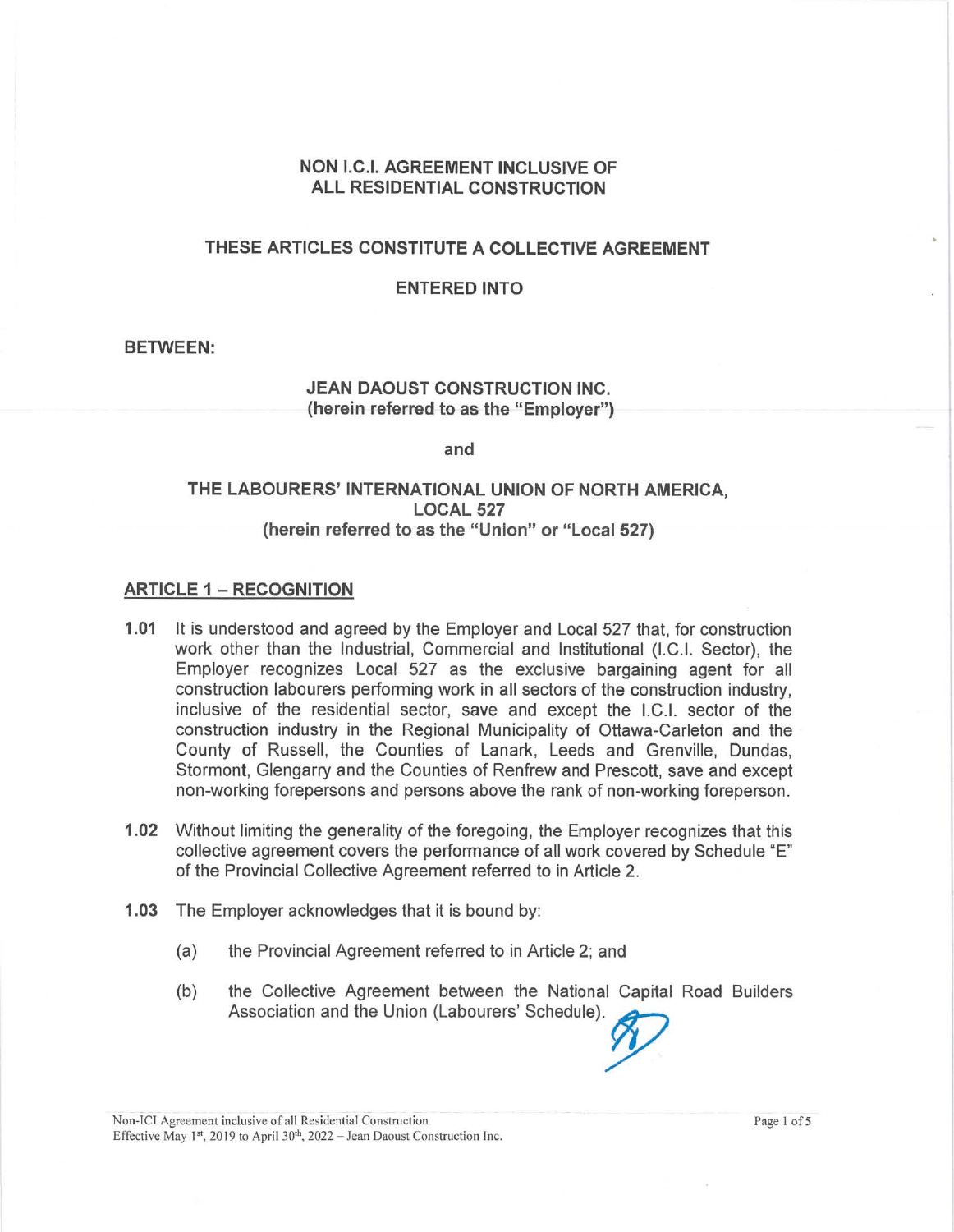#### **NON** I.C.I. **AGREEMENT INCLUSIVE OF ALL RESIDENTIAL CONSTRUCTION**

## **THESE ARTICLES CONSTITUTE A COLLECTIVE AGREEMENT**

#### **ENTERED INTO**

#### **BETWEEN:**

#### **JEAN DAOUST CONSTRUCTION INC. (herein referred to as the "Employer")**

**and** 

## **THE LABOURERS' INTERNATIONAL UNION OF NORTH AMERICA, LOCAL 527 (herein referred to as the "Union" or "Local 527)**

#### **ARTICLE 1 - RECOGNITION**

- **1.01** It is understood and agreed by the Employer and Local 527 that, for construction work other than the Industrial, Commercial and Institutional (I.C.I. Sector), the Employer recognizes Local 527 as the exclusive bargaining agent for all construction labourers performing work in all sectors of the construction industry, inclusive of the residential sector, save and except the I.C.I. sector of the construction industry in the Regional Municipality of Ottawa-Carleton and the County of Russell, the Counties of Lanark, Leeds and Grenville, Dundas, Stormont, Glengarry and the Counties of Renfrew and Prescott, save and except non-working forepersons and persons above the rank of non-working foreperson.
- **1.02** Without limiting the generality of the foregoing, the Employer recognizes that this collective agreement covers the performance of all work covered by Schedule "E" of the Provincial Collective Agreement referred to in Article 2.
- **1.03** The Employer acknowledges that it is bound by:
	- (a) the Provincial Agreement referred to in Article 2; and
	- (b) the Collective Agreement between the National Capital Road Builders Association and the Union (Labourers' Schedule).~

Non-ICI Agreement inclusive of all Residential Construction Page 1 of 5 Effective May 1st, 2019 to April 30<sup>th</sup>, 2022 - Jean Daoust Construction Inc.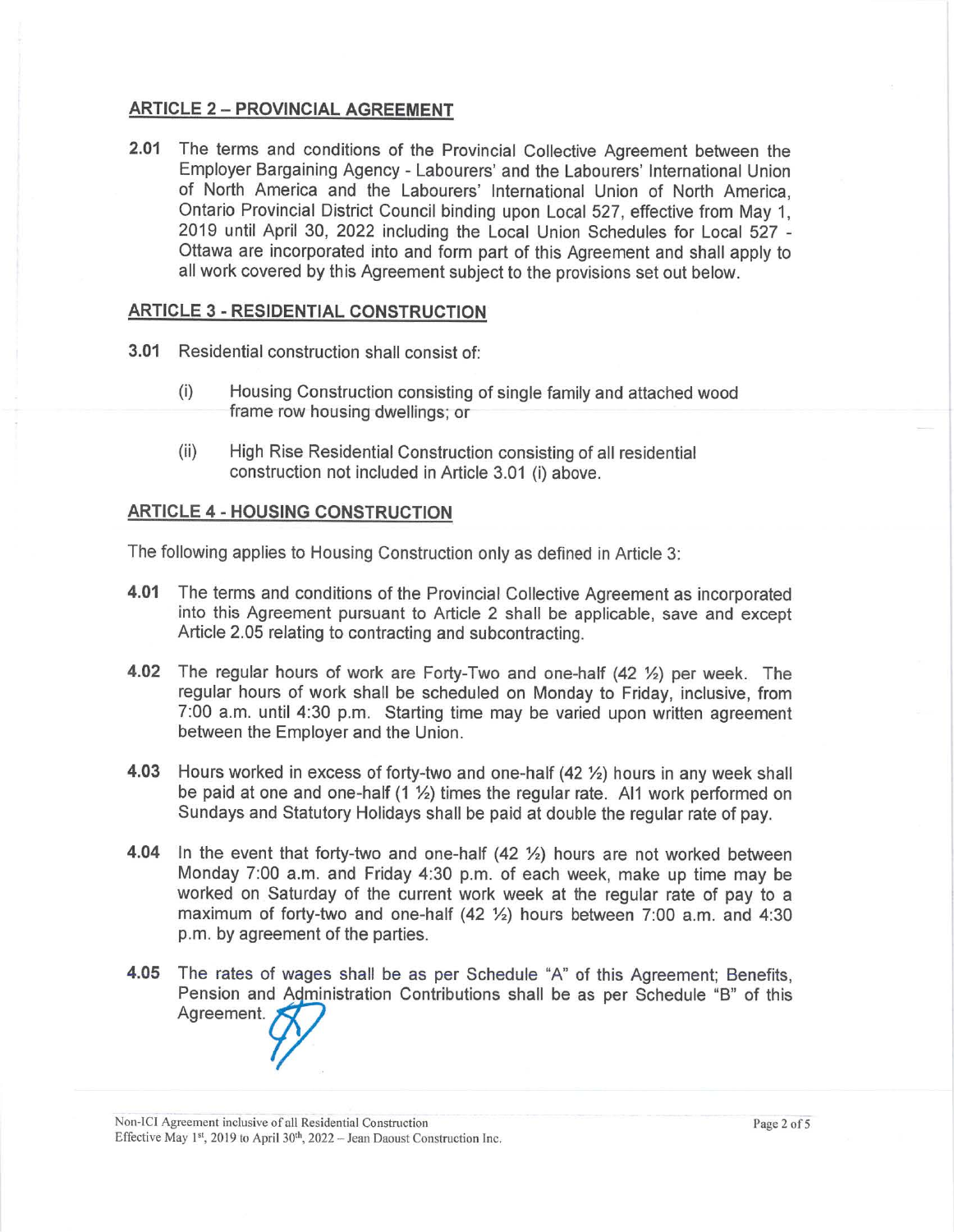# **ARTICLE 2 - PROVINCIAL AGREEMENT**

**2.01** The terms and conditions of the Provincial Collective Agreement between the Employer Bargaining Agency - Labourers' and the Labourers' International Union of North America and the Labourers' International Union of North America, Ontario Provincial District Council binding upon Local 527, effective from May 1, 2019 until April 30, 2022 including the Local Union Schedules for Local 527 - Ottawa are incorporated into and form part of this Agreement and shall apply to all work covered by this Agreement subject to the provisions set out below.

#### **ARTICLE 3 - RESIDENTIAL CONSTRUCTION**

- **3.01** Residential construction shall consist of:
	- (i) Housing Construction consisting of single family and attached wood frame row housing dwellings; or
	- (ii) High Rise Residential Construction consisting of all residential construction not included in Article 3.01 (i) above.

#### **ARTICLE 4 - HOUSING CONSTRUCTION**

The following applies to Housing Construction only as defined in Article 3:

- **4.01** The terms and conditions of the Provincial Collective Agreement as incorporated into this Agreement pursuant to Article 2 shall be applicable, save and except Article 2.05 relating to contracting and subcontracting.
- **4.02** The regular hours of work are Forty-Two and one-half (42 ½) per week. The regular hours of work shall be scheduled on Monday to Friday, inclusive, from 7:00 a.m. until 4:30 p.m. Starting time may be varied upon written agreement between the Employer and the Union.
- **4.03** Hours worked in excess of forty-two and one-half (42 ½) hours in any week shall be paid at one and one-half (1 ½) times the regular rate. AI1 work performed on Sundays and Statutory Holidays shall be paid at double the regular rate of pay.
- **4.04** In the event that forty-two and one-half (42 ½) hours are not worked between Monday 7:00 a.m. and Friday 4:30 p.m. of each week, make up time may be worked on Saturday of the current work week at the regular rate of pay to a maximum of forty-two and one-half (42 ½) hours between 7:00 a.m. and 4:30 p.m. by agreement of the parties.
- **4.05** The rates of wages shall be as per Schedule "A" of this Agreement; Benefits, Pension and Administration Contributions shall be as per Schedule "B" of this Agreement.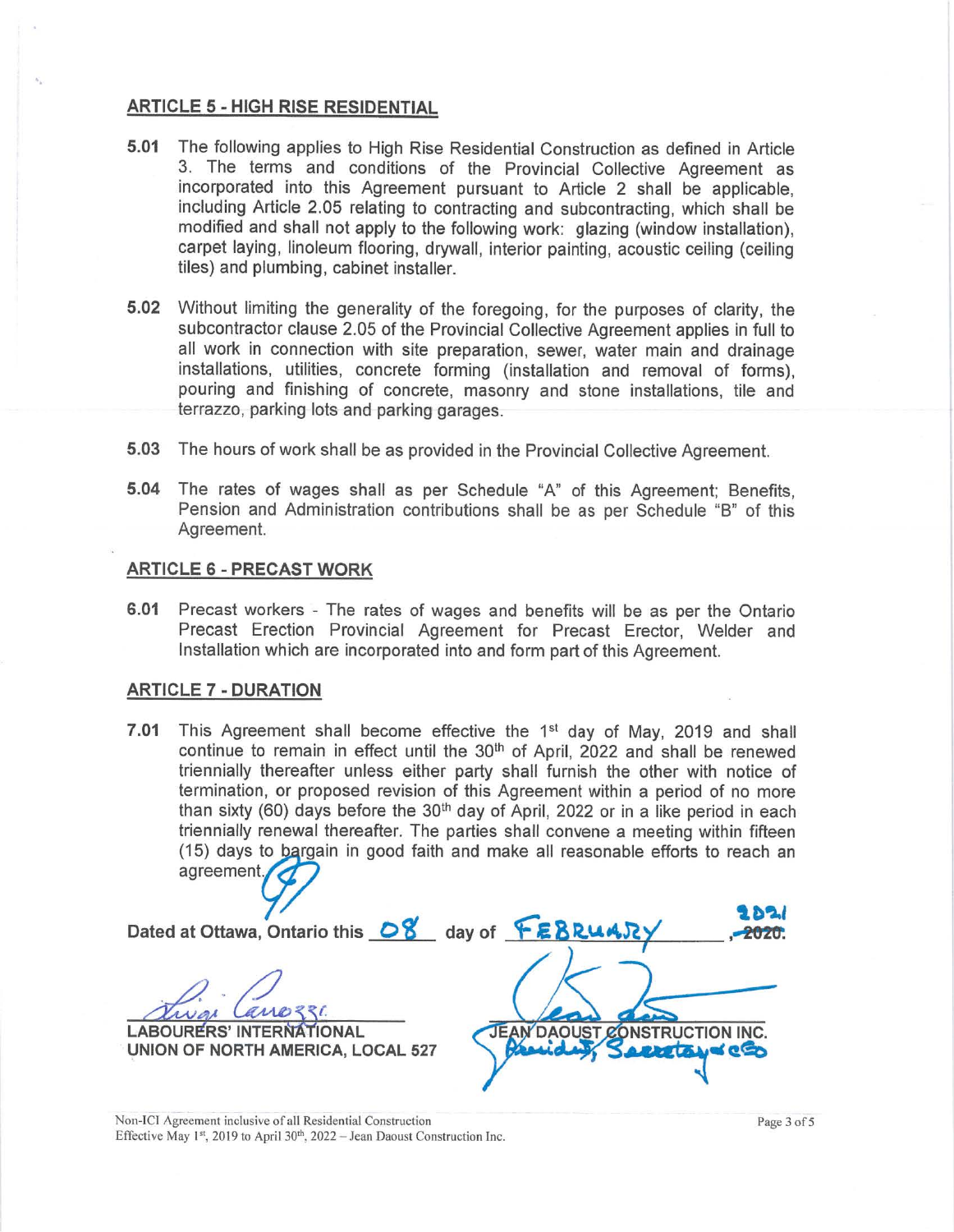#### **ARTICLE 5** - **HIGH RISE RESIDENTIAL**

- **5.01** The following applies to High Rise Residential Construction as defined in Article 3. The terms and conditions of the Provincial Collective Agreement as incorporated into this Agreement pursuant to Article 2 shall be applicable, including Article 2.05 relating to contracting and subcontracting, which shall be modified and shall not apply to the following work: glazing (window installation), carpet laying, linoleum flooring, drywall, interior painting, acoustic ceiling (ceiling tiles) and plumbing, cabinet installer.
- **5.02** Without limiting the generality of the foregoing, for the purposes of clarity, the subcontractor clause 2.05 of the Provincial Collective Agreement applies in full to all work in connection with site preparation, sewer, water main and drainage installations, utilities, concrete forming (installation and removal of forms), pouring and finishing of concrete, masonry and stone installations, tile and terrazzo, parking lots and parking garages.
- **5.03** The hours of work shall be as provided in the Provincial Collective Agreement.
- **5.04** The rates of wages shall as per Schedule "A" of this Agreement; Benefits, Pension and Administration contributions shall be as per Schedule "B" of this Agreement.

#### **ARTICLE 6** - **PRECAST WORK**

**6.01** Precast workers - The rates of wages and benefits will be as per the Ontario Precast Erection Provincial Agreement for Precast Erector, Welder and Installation which are incorporated into and form part of this Agreement.

#### **ARTICLE 7** - **DURATION**

**7 .01** This Agreement shall become effective the 1st day of May, 2019 and shall continue to remain in effect until the 30<sup>th</sup> of April, 2022 and shall be renewed triennially thereafter unless either party shall furnish the other with notice of termination, or proposed revision of this Agreement within a period of no more than sixty (60) days before the 30<sup>th</sup> day of April, 2022 or in a like period in each triennially renewal thereafter. The parties shall convene a meeting within fifteen<br>(15) days to bargain in good faith and make all reasonable efforts to reach an agreement.

,~~, Dated at Ottawa, Ontario this **OB'** day of **\.l,4.n ,-2020. LABOURERS' INTERNATIONAL UNION OF NORTH AMERICA, LOCAL 527 NSTRUCTION INC.** 

Non-IC! Agreement inclusive of all Residential Construction Effective May 1st, 2019 to April 30<sup>th</sup>, 2022 - Jean Daoust Construction Inc.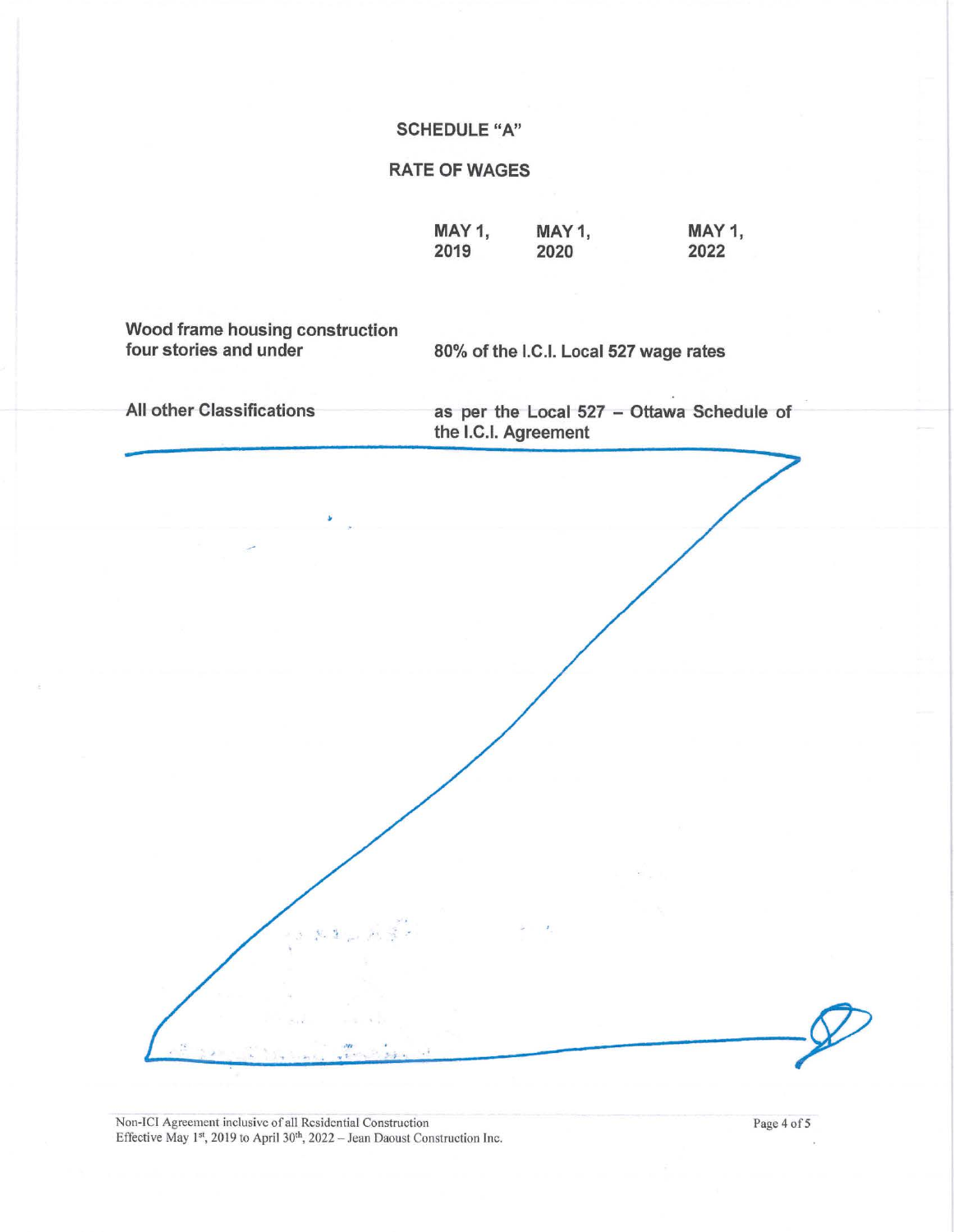## **SCHEDULE "A"**

# **RATE OF WAGES**

**MAY1, 2019 MAY1, 2020** 

**MAY1, 2022** 

**Wood frame housing construction** 

80% of the I.C.I. Local 527 wage rates

**All other Classifications as per the Local 527 - Ottawa Schedule of the I.C.I. Agreement** 

Non-ICI Agreement inclusive of all Residential Construction Page 4 of 5 Effective May 1<sup>st</sup>, 2019 to April 30<sup>th</sup>, 2022 - Jean Daoust Construction Inc.